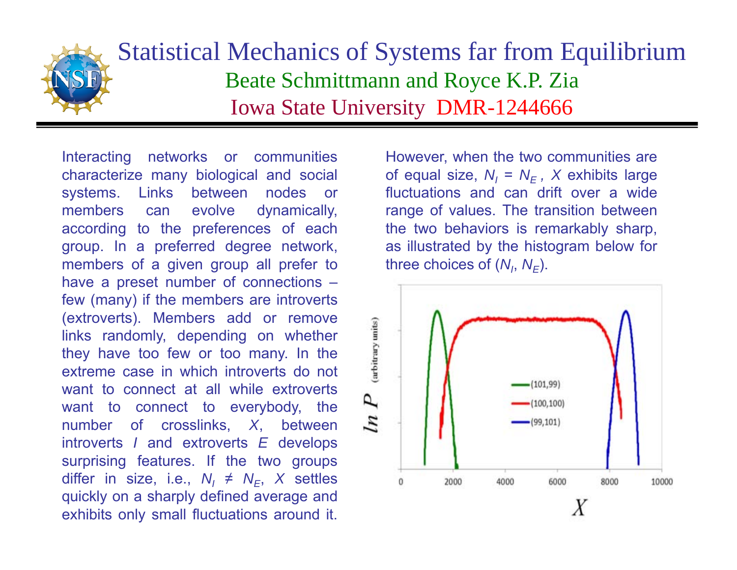

## Statistical Mechanics of Systems far from Equilibrium Beate Schmittmann and Royce K.P. Zia Iowa State University DMR-1244666

Interacting networks or communities characterize many biological and social systems. Links between nodes or members can evolve dynamically, according to the preferences of each group. In <sup>a</sup> preferred degree network, members of <sup>a</sup> given group all prefer to have <sup>a</sup> preset number of connections – few (many) if the members are introverts (extroverts). Members add or remove links randomly, depending on whether they have too few or too many. In the extreme case in which introverts do notwant to connect at all while extrovertswant to connect to everybody, the number of crosslinks, *X*, between introverts *I* and extroverts *E* develops surprising features. If the two groups differ in size, i.e., *N<sub>I</sub> ≠ N<sub>E</sub>, X* settles quickly on <sup>a</sup> sharply defined average and exhibits only small fluctuations around it.

However, when the two communities are of equal size, *NI* <sup>=</sup> *NE , X* exhibits large fluctuations and can drift over a widerange of values. The transition between the two behaviors is remarkably sharp, as illustrated by the histogram below for three choices of (*N<sub>I</sub>, N<sub>E</sub>*).